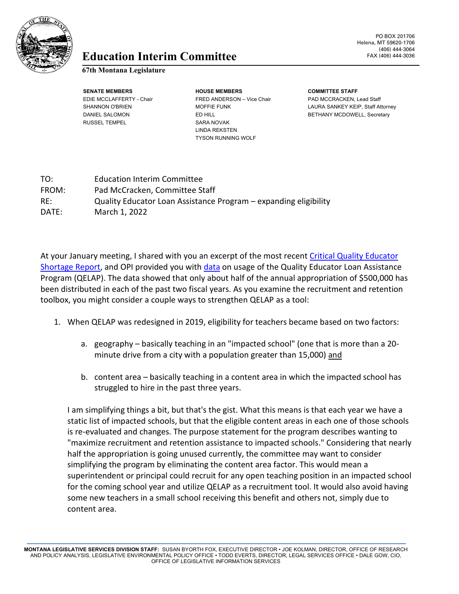

## **Education** FAX (406) 444-3036 **Interim Committee**

## **67th Montana Legislature**

RUSSEL TEMPEL SARA NOVAK

**SENATE MEMBERS HOUSE MEMBERS COMMITTEE STAFF** EDIE MCCLAFFERTY - Chair FRED ANDERSON – Vice Chair PAD MCCRACKEN, Lead Staff LINDA REKSTEN TYSON RUNNING WOLF

PO BOX 201706 Helena, MT 59620-1706 (406) 444-3064

SHANNON O'BRIEN MOFFIE FUNK LAURA SANKEY KEIP, Staff Attorney DANIEL SALOMON ED HILL ED HILL BETHANY MCDOWELL, Secretary

| TO:   | <b>Education Interim Committee</b>                               |
|-------|------------------------------------------------------------------|
| FROM: | Pad McCracken, Committee Staff                                   |
| RE:   | Quality Educator Loan Assistance Program – expanding eligibility |
| DATE: | March 1, 2022                                                    |

At your January meeting, I shared with you an excerpt of the most recent [Critical Quality Educator](https://leg.mt.gov/content/Committees/Interim/2021-2022/Education/Meetings/January-2022/QE-shortage-report.pdf)  [Shortage Report,](https://leg.mt.gov/content/Committees/Interim/2021-2022/Education/Meetings/January-2022/QE-shortage-report.pdf) and OPI provided you with [data](https://leg.mt.gov/content/Committees/Interim/2021-2022/Education/Meetings/January-2022/QELAP_2020_2021_Data.pdf) on usage of the Quality Educator Loan Assistance Program (QELAP). The data showed that only about half of the annual appropriation of \$500,000 has been distributed in each of the past two fiscal years. As you examine the recruitment and retention toolbox, you might consider a couple ways to strengthen QELAP as a tool:

- 1. When QELAP was redesigned in 2019, eligibility for teachers became based on two factors:
	- a. geography basically teaching in an "impacted school" (one that is more than a 20 minute drive from a city with a population greater than 15,000) and
	- b. content area basically teaching in a content area in which the impacted school has struggled to hire in the past three years.

I am simplifying things a bit, but that's the gist. What this means is that each year we have a static list of impacted schools, but that the eligible content areas in each one of those schools is re-evaluated and changes. The purpose statement for the program describes wanting to "maximize recruitment and retention assistance to impacted schools." Considering that nearly half the appropriation is going unused currently, the committee may want to consider simplifying the program by eliminating the content area factor. This would mean a superintendent or principal could recruit for any open teaching position in an impacted school for the coming school year and utilize QELAP as a recruitment tool. It would also avoid having some new teachers in a small school receiving this benefit and others not, simply due to content area.

**MONTANA LEGISLATIVE SERVICES DIVISION STAFF:** SUSAN BYORTH FOX, EXECUTIVE DIRECTOR • JOE KOLMAN, DIRECTOR, OFFICE OF RESEARCH AND POLICY ANALYSIS, LEGISLATIVE ENVIRONMENTAL POLICY OFFICE • TODD EVERTS, DIRECTOR, LEGAL SERVICES OFFICE • DALE GOW, CIO, OFFICE OF LEGISLATIVE INFORMATION SERVICES